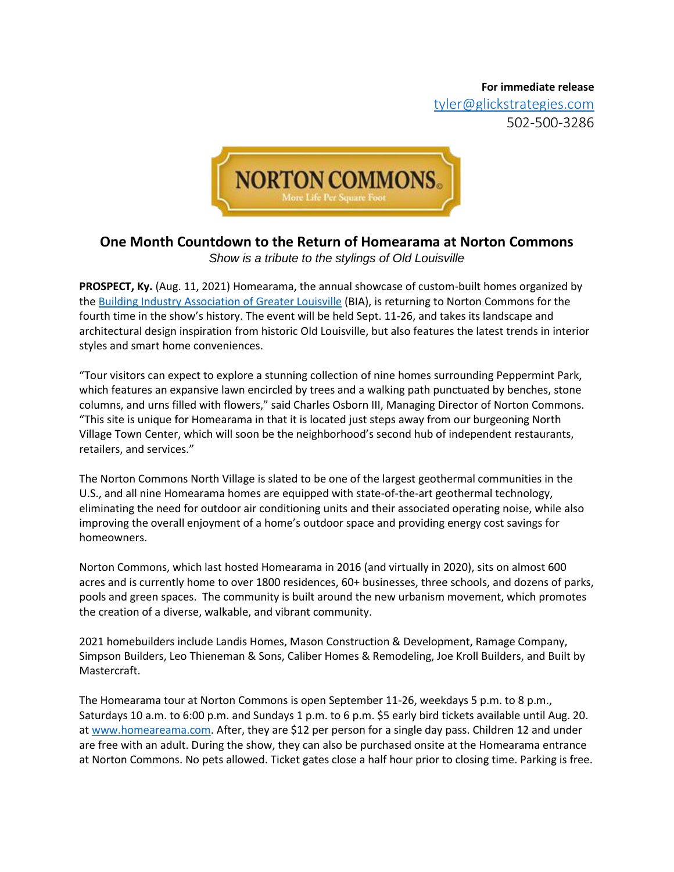**For immediate release** 

[tyler@glickstrategies.com](mailto:tyler@glickstrategies.com) 502-500-3286



## **One Month Countdown to the Return of Homearama at Norton Commons**

*Show is a tribute to the stylings of Old Louisville*

**PROSPECT, Ky.** (Aug. 11, 2021) Homearama, the annual showcase of custom-built homes organized by th[e Building Industry Association of Greater Louisville](https://www.bialouisville.com/) (BIA), is returning to Norton Commons for the fourth time in the show's history. The event will be held Sept. 11-26, and takes its landscape and architectural design inspiration from historic Old Louisville, but also features the latest trends in interior styles and smart home conveniences.

"Tour visitors can expect to explore a stunning collection of nine homes surrounding Peppermint Park, which features an expansive lawn encircled by trees and a walking path punctuated by benches, stone columns, and urns filled with flowers," said Charles Osborn III, Managing Director of Norton Commons. "This site is unique for Homearama in that it is located just steps away from our burgeoning North Village Town Center, which will soon be the neighborhood's second hub of independent restaurants, retailers, and services."

The Norton Commons North Village is slated to be one of the largest geothermal communities in the U.S., and all nine Homearama homes are equipped with state-of-the-art geothermal technology, eliminating the need for outdoor air conditioning units and their associated operating noise, while also improving the overall enjoyment of a home's outdoor space and providing energy cost savings for homeowners.

Norton Commons, which last hosted Homearama in 2016 (and virtually in 2020), sits on almost 600 acres and is currently home to over 1800 residences, 60+ businesses, three schools, and dozens of parks, pools and green spaces. The community is built around the new urbanism movement, which promotes the creation of a diverse, walkable, and vibrant community.

2021 homebuilders include Landis Homes, Mason Construction & Development, Ramage Company, Simpson Builders, Leo Thieneman & Sons, Caliber Homes & Remodeling, Joe Kroll Builders, and Built by Mastercraft.

The Homearama tour at Norton Commons is open September 11-26, weekdays 5 p.m. to 8 p.m., Saturdays 10 a.m. to 6:00 p.m. and Sundays 1 p.m. to 6 p.m. \$5 early bird tickets available until Aug. 20. a[t www.homeareama.com.](http://www.homeareama.com/) After, they are \$12 per person for a single day pass. Children 12 and under are free with an adult. During the show, they can also be purchased onsite at the Homearama entrance at Norton Commons. No pets allowed. Ticket gates close a half hour prior to closing time. Parking is free.